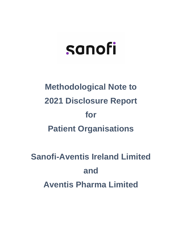# sanofi

# **Methodological Note to 2021 Disclosure Report for Patient Organisations**

## **Sanofi-Aventis Ireland Limited and Aventis Pharma Limited**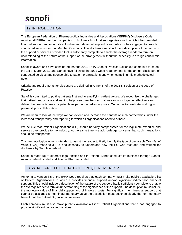### sanofi

### 1) INTRODUCTION

The European Federation of Pharmaceutical Industries and Associations ("EFPIA") Disclosure Code requires all EFPIA member companies to disclose a list of patient organisations to which it has provided financial support and/or significant indirect/non-financial support or with whom it has engaged to provide contracted services for that Member Company. This disclosure must include a description of the nature of the support or services provided that is sufficiently complete to enable the average reader to form an understanding of the nature of the support or the arrangement without the necessity to divulge confidential information.

Sanofi is aware and have considered that the 2021 IPHA Code of Practice Edition 8.5 came into force on the 1st of March 2021, and Sanofi have followed the 2021 Code requirements for the annual disclosure of contracted services and sponsorship to patient organisations and when compiling this methodological note.

Criteria and requirements for disclosure are defined in Annex III of the 2021 8.5 edition of the code of Practice.

Sanofi is committed to putting patients first and to amplifying patient voices. We recognise the challenges that patient groups face and want to help overcome them so that we can work together effectively and deliver the best outcomes for patients as part of our advocacy work. Our aim is to celebrate working in partnership or collaboration.

We are keen to look at the ways we can extend and increase the benefits of such partnerships under the increased transparency and reporting to which all organisations need to adhere.

We believe that Patient Organisations (PO) should be fairly compensated for the legitimate expertise and services they provide to the industry. At the same time, we acknowledge concerns that such transactions should be transparent.

This methodological note is intended to assist the reader to firstly identify the type of declarable Transfer of Value (TOV) made to a PO, and secondly to understand how the PO was recorded and verified for disclosure by Sanofi in Ireland.

Sanofi is made up of different legal entities and in Ireland, Sanofi conducts its business through Sanofi-Aventis Ireland Limited and Aventis Pharma Limited.

### 2) WHAT ARE THE IPHA CODE REQUIREMENTS?

Annex III to version 8.5 of the IPHA Code requires that 'each company must make publicly available a list of Patient Organisations to which it provides financial support and/or significant indirect/non financial support. This should include a description of the nature of the support that is sufficiently complete to enable the average reader to form an understanding of the significance of the support. The description must include the monetary value of financial support and of invoiced costs. For significant non-financial support that cannot be assigned a meaningful monetary value the description must describe clearly the non-monetary benefit that the Patient Organisation receives'.

Each company must also make publicly available a list of Patient Organisations that it has engaged to provide significant contracted services.